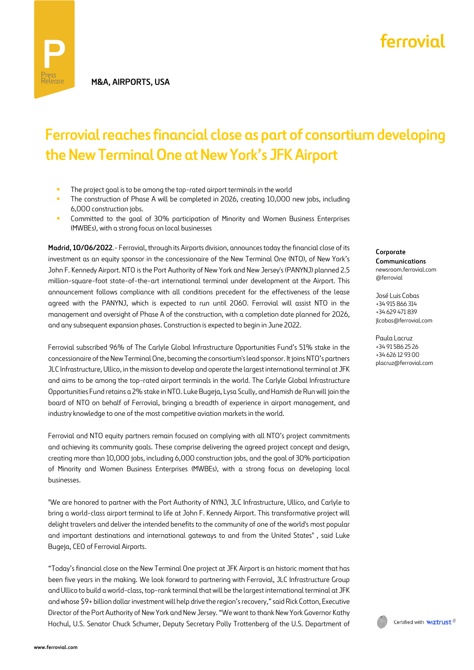## **Ferrovial reaches financial close as part of consortium developing the New Terminal One at New York's JFK Airport**

- **•** The project goal is to be among the top-rated airport terminals in the world
- The construction of Phase A will be completed in 2026, creating 10,000 new jobs, including 6,000 construction jobs.
- **•** Committed to the goal of 30% participation of Minority and Women Business Enterprises (MWBEs), with a strong focus on local businesses

**Madrid, 10/06/2022**.- Ferrovial, through its Airports division, announces today the financial close of its investment as an equity sponsor in the concessionaire of the New Terminal One (NTO), of New York's John F. Kennedy Airport. NTO is the Port Authority of New York and New Jersey's (PANYNJ) planned 2.5 million-square-foot state-of-the-art international terminal under development at the Airport. This announcement follows compliance with all conditions precedent for the effectiveness of the lease agreed with the PANYNJ, which is expected to run until 2060. Ferrovial will assist NTO in the management and oversight of Phase A of the construction, with a completion date planned for 2026, and any subsequent expansion phases. Construction is expected to begin in June 2022.

Ferrovial subscribed 96% of The Carlyle Global Infrastructure Opportunities Fund's 51% stake in the concessionaire of the New Terminal One, becoming the consortium's lead sponsor. It joins NTO's partners JLC Infrastructure, Ullico, in the mission to develop and operate the largest international terminal at JFK and aims to be among the top-rated airport terminals in the world. The Carlyle Global Infrastructure Opportunities Fund retains a 2% stake in NTO. Luke Bugeja, Lysa Scully, and Hamish de Run will join the board of NTO on behalf of Ferrovial, bringing a breadth of experience in airport management, and industry knowledge to one of the most competitive aviation markets in the world.

Ferrovial and NTO equity partners remain focused on complying with all NTO's project commitments and achieving its community goals. These comprise delivering the agreed project concept and design, creating more than 10,000 jobs, including 6,000 construction jobs, and the goal of 30% participation of Minority and Women Business Enterprises (MWBEs), with a strong focus on developing local businesses.

"We are honored to partner with the Port Authority of NYNJ, JLC Infrastructure, Ullico, and Carlyle to bring a world-class airport terminal to life at John F. Kennedy Airport. This transformative project will delight travelers and deliver the intended benefits to the community of one of the world's most popular and important destinations and international gateways to and from the United States" , said Luke Bugeja, CEO of Ferrovial Airports.

"Today's financial close on the New Terminal One project at JFK Airport is an historic moment that has been five years in the making. We look forward to partnering with Ferrovial, JLC Infrastructure Group and Ullico to build a world-class, top-rank terminal that will be the largest international terminal at JFK and whose \$9+ billion dollar investment will help drive the region's recovery," said Rick Cotton, Executive Director of the Port Authority of New York and New Jersey. "We want to thank New York Governor Kathy Hochul, U.S. Senator Chuck Schumer, Deputy Secretary Polly Trottenberg of the U.S. Department of **Corporate Communications** newsroom.ferrovial.com @ferrovial

José Luis Cobas +34 915 866 314 +34 629 471 839 jlcobas@ferrovial.com

Paula Lacruz +34 91 586 25 26 +34 626 12 93 00 placruz@ferrovial.com